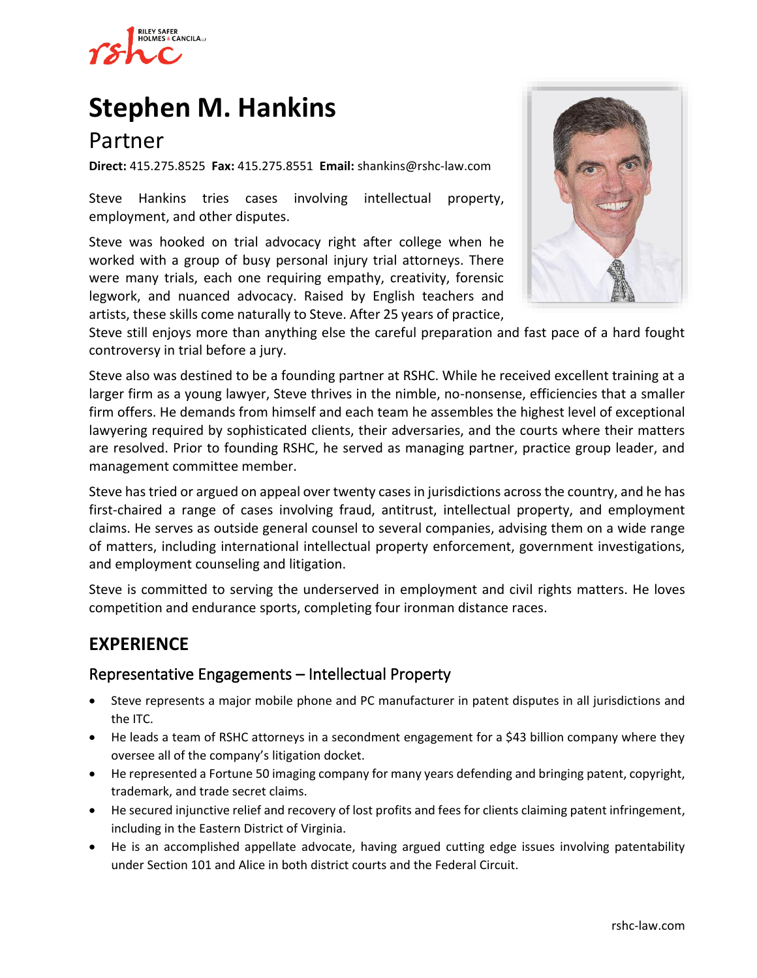

# **[Stephen M. Hankins](https://www.rshc-law.com/attorneys/attorney/stephen-m.-hankins)**

# Partner

**Direct:** 415.275.8525 **Fax:** 415.275.8551 **Email:** shankins@rshc-law.com

Steve Hankins tries cases involving intellectual property, employment, and other disputes.

Steve was hooked on trial advocacy right after college when he worked with a group of busy personal injury trial attorneys. There were many trials, each one requiring empathy, creativity, forensic legwork, and nuanced advocacy. Raised by English teachers and artists, these skills come naturally to Steve. After 25 years of practice,



Steve still enjoys more than anything else the careful preparation and fast pace of a hard fought controversy in trial before a jury.

Steve also was destined to be a founding partner at RSHC. While he received excellent training at a larger firm as a young lawyer, Steve thrives in the nimble, no-nonsense, efficiencies that a smaller firm offers. He demands from himself and each team he assembles the highest level of exceptional lawyering required by sophisticated clients, their adversaries, and the courts where their matters are resolved. Prior to founding RSHC, he served as managing partner, practice group leader, and management committee member.

Steve has tried or argued on appeal over twenty cases in jurisdictions across the country, and he has first-chaired a range of cases involving fraud, antitrust, intellectual property, and employment claims. He serves as outside general counsel to several companies, advising them on a wide range of matters, including international intellectual property enforcement, government investigations, and employment counseling and litigation.

Steve is committed to serving the underserved in employment and civil rights matters. He loves competition and endurance sports, completing four ironman distance races.

# **EXPERIENCE**

## Representative Engagements – Intellectual Property

- Steve represents a major mobile phone and PC manufacturer in patent disputes in all jurisdictions and the ITC.
- He leads a team of RSHC attorneys in a secondment engagement for a \$43 billion company where they oversee all of the company's litigation docket.
- He represented a Fortune 50 imaging company for many years defending and bringing patent, copyright, trademark, and trade secret claims.
- He secured injunctive relief and recovery of lost profits and fees for clients claiming patent infringement, including in the Eastern District of Virginia.
- He is an accomplished appellate advocate, having argued cutting edge issues involving patentability under Section 101 and Alice in both district courts and the Federal Circuit.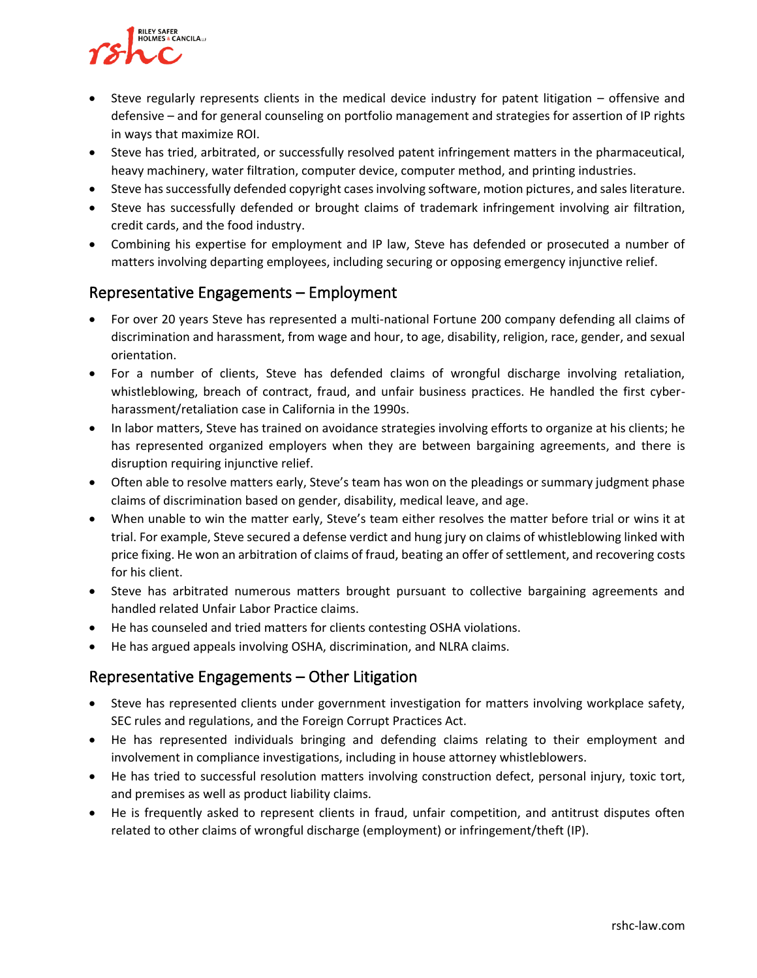

- Steve regularly represents clients in the medical device industry for patent litigation offensive and defensive – and for general counseling on portfolio management and strategies for assertion of IP rights in ways that maximize ROI.
- Steve has tried, arbitrated, or successfully resolved patent infringement matters in the pharmaceutical, heavy machinery, water filtration, computer device, computer method, and printing industries.
- Steve has successfully defended copyright cases involving software, motion pictures, and sales literature.
- Steve has successfully defended or brought claims of trademark infringement involving air filtration, credit cards, and the food industry.
- Combining his expertise for employment and IP law, Steve has defended or prosecuted a number of matters involving departing employees, including securing or opposing emergency injunctive relief.

#### Representative Engagements – Employment

- For over 20 years Steve has represented a multi-national Fortune 200 company defending all claims of discrimination and harassment, from wage and hour, to age, disability, religion, race, gender, and sexual orientation.
- For a number of clients, Steve has defended claims of wrongful discharge involving retaliation, whistleblowing, breach of contract, fraud, and unfair business practices. He handled the first cyberharassment/retaliation case in California in the 1990s.
- In labor matters, Steve has trained on avoidance strategies involving efforts to organize at his clients; he has represented organized employers when they are between bargaining agreements, and there is disruption requiring injunctive relief.
- Often able to resolve matters early, Steve's team has won on the pleadings or summary judgment phase claims of discrimination based on gender, disability, medical leave, and age.
- When unable to win the matter early, Steve's team either resolves the matter before trial or wins it at trial. For example, Steve secured a defense verdict and hung jury on claims of whistleblowing linked with price fixing. He won an arbitration of claims of fraud, beating an offer of settlement, and recovering costs for his client.
- Steve has arbitrated numerous matters brought pursuant to collective bargaining agreements and handled related Unfair Labor Practice claims.
- He has counseled and tried matters for clients contesting OSHA violations.
- He has argued appeals involving OSHA, discrimination, and NLRA claims.

## Representative Engagements – Other Litigation

- Steve has represented clients under government investigation for matters involving workplace safety, SEC rules and regulations, and the Foreign Corrupt Practices Act.
- He has represented individuals bringing and defending claims relating to their employment and involvement in compliance investigations, including in house attorney whistleblowers.
- He has tried to successful resolution matters involving construction defect, personal injury, toxic tort, and premises as well as product liability claims.
- He is frequently asked to represent clients in fraud, unfair competition, and antitrust disputes often related to other claims of wrongful discharge (employment) or infringement/theft (IP).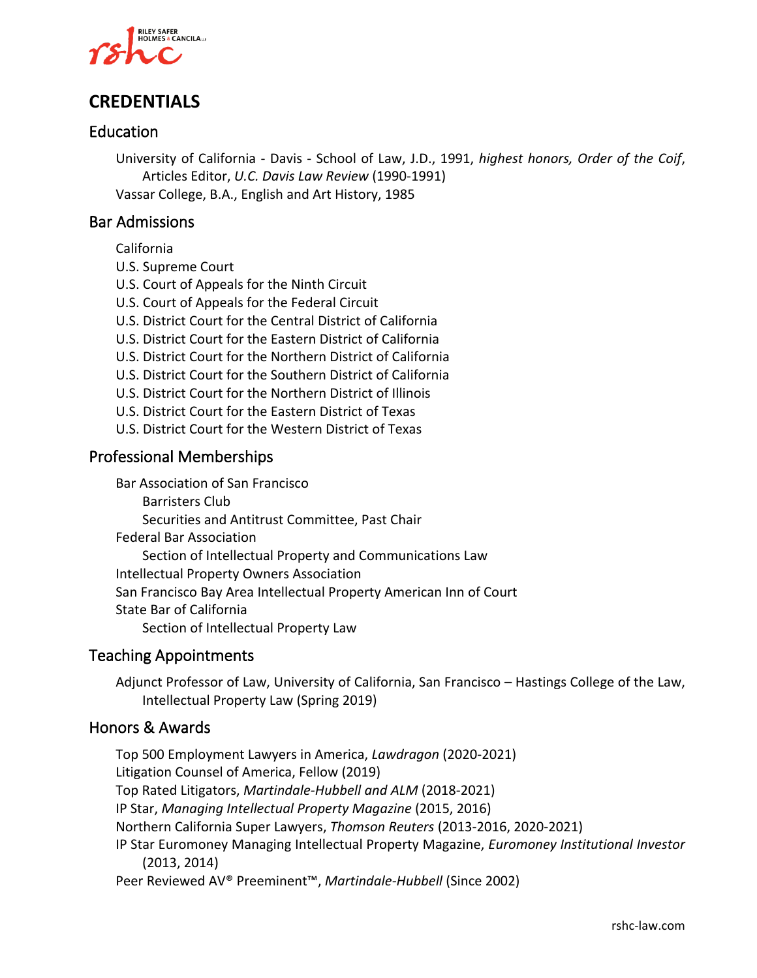

# **CREDENTIALS**

## Education

University of California - Davis - School of Law, J.D., 1991, *highest honors, Order of the Coif*, Articles Editor, *U.C. Davis Law Review* (1990-1991) Vassar College, B.A., English and Art History, 1985

#### Bar Admissions

California

- U.S. Supreme Court
- U.S. Court of Appeals for the Ninth Circuit
- U.S. Court of Appeals for the Federal Circuit
- U.S. District Court for the Central District of California
- U.S. District Court for the Eastern District of California
- U.S. District Court for the Northern District of California
- U.S. District Court for the Southern District of California
- U.S. District Court for the Northern District of Illinois
- U.S. District Court for the Eastern District of Texas
- U.S. District Court for the Western District of Texas

### Professional Memberships

Bar Association of San Francisco Barristers Club Securities and Antitrust Committee, Past Chair Federal Bar Association Section of Intellectual Property and Communications Law Intellectual Property Owners Association San Francisco Bay Area Intellectual Property American Inn of Court State Bar of California Section of Intellectual Property Law

#### Teaching Appointments

Adjunct Professor of Law, University of California, San Francisco – Hastings College of the Law, Intellectual Property Law (Spring 2019)

#### Honors & Awards

Top 500 Employment Lawyers in America, *Lawdragon* (2020-2021) Litigation Counsel of America, Fellow (2019) Top Rated Litigators, *Martindale-Hubbell and ALM* (2018-2021) IP Star, *Managing Intellectual Property Magazine* (2015, 2016) Northern California Super Lawyers, *Thomson Reuters* (2013-2016, 2020-2021) IP Star Euromoney Managing Intellectual Property Magazine, *Euromoney Institutional Investor* (2013, 2014) Peer Reviewed AV® Preeminent™, *Martindale-Hubbell* (Since 2002)